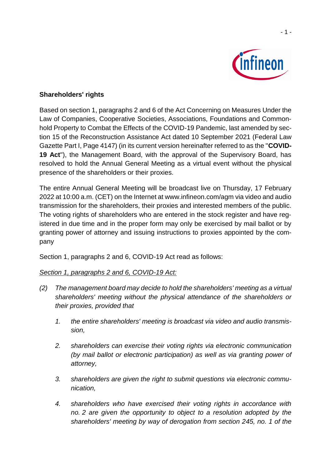

### **Shareholders' rights**

Based on section 1, paragraphs 2 and 6 of the Act Concerning on Measures Under the Law of Companies, Cooperative Societies, Associations, Foundations and Commonhold Property to Combat the Effects of the COVID-19 Pandemic, last amended by section 15 of the Reconstruction Assistance Act dated 10 September 2021 (Federal Law Gazette Part I, Page 4147) (in its current version hereinafter referred to as the "**COVID-19 Act**"), the Management Board, with the approval of the Supervisory Board, has resolved to hold the Annual General Meeting as a virtual event without the physical presence of the shareholders or their proxies.

The entire Annual General Meeting will be broadcast live on Thursday, 17 February 2022 at 10:00 a.m. (CET) on the Internet at www.infineon.com/agm via video and audio transmission for the shareholders, their proxies and interested members of the public. The voting rights of shareholders who are entered in the stock register and have registered in due time and in the proper form may only be exercised by mail ballot or by granting power of attorney and issuing instructions to proxies appointed by the company

Section 1, paragraphs 2 and 6, COVID-19 Act read as follows:

# *Section 1, paragraphs 2 and 6, COVID-19 Act:*

- *(2) The management board may decide to hold the shareholders' meeting as a virtual shareholders' meeting without the physical attendance of the shareholders or their proxies, provided that*
	- *1. the entire shareholders' meeting is broadcast via video and audio transmission,*
	- *2. shareholders can exercise their voting rights via electronic communication (by mail ballot or electronic participation) as well as via granting power of attorney,*
	- *3. shareholders are given the right to submit questions via electronic communication,*
	- *4. shareholders who have exercised their voting rights in accordance with no. 2 are given the opportunity to object to a resolution adopted by the shareholders' meeting by way of derogation from section 245, no. 1 of the*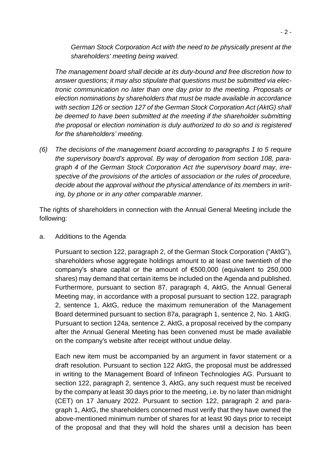*German Stock Corporation Act with the need to be physically present at the shareholders' meeting being waived.*

*The management board shall decide at its duty-bound and free discretion how to answer questions; it may also stipulate that questions must be submitted via electronic communication no later than one day prior to the meeting. Proposals or election nominations by shareholders that must be made available in accordance with section 126 or section 127 of the German Stock Corporation Act (AktG) shall be deemed to have been submitted at the meeting if the shareholder submitting the proposal or election nomination is duly authorized to do so and is registered for the shareholders' meeting.*

*(6) The decisions of the management board according to paragraphs 1 to 5 require the supervisory board's approval. By way of derogation from section 108, paragraph 4 of the German Stock Corporation Act the supervisory board may, irrespective of the provisions of the articles of association or the rules of procedure, decide about the approval without the physical attendance of its members in writing, by phone or in any other comparable manner.* 

The rights of shareholders in connection with the Annual General Meeting include the following:

a. Additions to the Agenda

Pursuant to section 122, paragraph 2, of the German Stock Corporation ("AktG"), shareholders whose aggregate holdings amount to at least one twentieth of the company's share capital or the amount of €500,000 (equivalent to 250,000 shares) may demand that certain items be included on the Agenda and published. Furthermore, pursuant to section 87, paragraph 4, AktG, the Annual General Meeting may, in accordance with a proposal pursuant to section 122, paragraph 2, sentence 1, AktG, reduce the maximum remuneration of the Management Board determined pursuant to section 87a, paragraph 1, sentence 2, No. 1 AktG. Pursuant to section 124a, sentence 2, AktG, a proposal received by the company after the Annual General Meeting has been convened must be made available on the company's website after receipt without undue delay.

Each new item must be accompanied by an argument in favor statement or a draft resolution. Pursuant to section 122 AktG, the proposal must be addressed in writing to the Management Board of Infineon Technologies AG. Pursuant to section 122, paragraph 2, sentence 3, AktG, any such request must be received by the company at least 30 days prior to the meeting, i.e. by no later than midnight (CET) on 17 January 2022. Pursuant to section 122, paragraph 2 and paragraph 1, AktG, the shareholders concerned must verify that they have owned the above-mentioned minimum number of shares for at least 90 days prior to receipt of the proposal and that they will hold the shares until a decision has been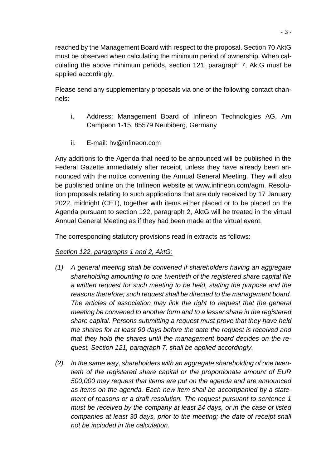reached by the Management Board with respect to the proposal. Section 70 AktG must be observed when calculating the minimum period of ownership. When calculating the above minimum periods, section 121, paragraph 7, AktG must be applied accordingly.

Please send any supplementary proposals via one of the following contact channels:

- i. Address: Management Board of Infineon Technologies AG, Am Campeon 1-15, 85579 Neubiberg, Germany
- ii. E-mail: hv@infineon.com

Any additions to the Agenda that need to be announced will be published in the Federal Gazette immediately after receipt, unless they have already been announced with the notice convening the Annual General Meeting. They will also be published online on the Infineon website at www.infineon.com/agm. Resolution proposals relating to such applications that are duly received by 17 January 2022, midnight (CET), together with items either placed or to be placed on the Agenda pursuant to section 122, paragraph 2, AktG will be treated in the virtual Annual General Meeting as if they had been made at the virtual event.

The corresponding statutory provisions read in extracts as follows:

### *Section 122, paragraphs 1 and 2, AktG:*

- *(1) A general meeting shall be convened if shareholders having an aggregate shareholding amounting to one twentieth of the registered share capital file a written request for such meeting to be held, stating the purpose and the reasons therefore; such request shall be directed to the management board. The articles of association may link the right to request that the general meeting be convened to another form and to a lesser share in the registered share capital. Persons submitting a request must prove that they have held the shares for at least 90 days before the date the request is received and that they hold the shares until the management board decides on the request. Section 121, paragraph 7, shall be applied accordingly.*
- *(2) In the same way, shareholders with an aggregate shareholding of one twentieth of the registered share capital or the proportionate amount of EUR 500,000 may request that items are put on the agenda and are announced as items on the agenda. Each new item shall be accompanied by a statement of reasons or a draft resolution. The request pursuant to sentence 1 must be received by the company at least 24 days, or in the case of listed companies at least 30 days, prior to the meeting; the date of receipt shall not be included in the calculation.*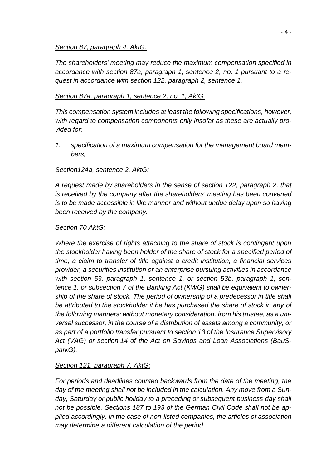#### *Section 87, paragraph 4, AktG:*

*The shareholders' meeting may reduce the maximum compensation specified in accordance with section 87a, paragraph 1, sentence 2, no. 1 pursuant to a request in accordance with section 122, paragraph 2, sentence 1.*

### *Section 87a, paragraph 1, sentence 2, no. 1, AktG:*

*This compensation system includes at least the following specifications, however, with regard to compensation components only insofar as these are actually provided for:*

*1. specification of a maximum compensation for the management board members;*

### *Section124a, sentence 2, AktG:*

*A request made by shareholders in the sense of section 122, paragraph 2, that is received by the company after the shareholders' meeting has been convened is to be made accessible in like manner and without undue delay upon so having been received by the company.*

### *Section 70 AktG:*

*Where the exercise of rights attaching to the share of stock is contingent upon the stockholder having been holder of the share of stock for a specified period of time, a claim to transfer of title against a credit institution, a financial services provider, a securities institution or an enterprise pursuing activities in accordance with section 53, paragraph 1, sentence 1, or section 53b, paragraph 1, sentence 1, or subsection 7 of the Banking Act (KWG) shall be equivalent to ownership of the share of stock. The period of ownership of a predecessor in title shall be attributed to the stockholder if he has purchased the share of stock in any of the following manners: without monetary consideration, from his trustee, as a universal successor, in the course of a distribution of assets among a community, or as part of a portfolio transfer pursuant to section 13 of the Insurance Supervisory Act (VAG) or section 14 of the Act on Savings and Loan Associations (BauSparkG).*

### *Section 121, paragraph 7, AktG:*

*For periods and deadlines counted backwards from the date of the meeting, the day of the meeting shall not be included in the calculation. Any move from a Sunday, Saturday or public holiday to a preceding or subsequent business day shall not be possible. Sections 187 to 193 of the German Civil Code shall not be applied accordingly. In the case of non-listed companies, the articles of association may determine a different calculation of the period.*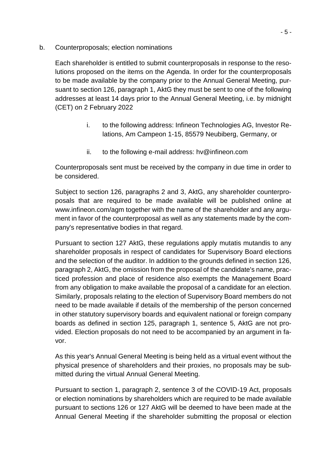b. Counterproposals; election nominations

Each shareholder is entitled to submit counterproposals in response to the resolutions proposed on the items on the Agenda. In order for the counterproposals to be made available by the company prior to the Annual General Meeting, pursuant to section 126, paragraph 1, AktG they must be sent to one of the following addresses at least 14 days prior to the Annual General Meeting, i.e. by midnight (CET) on 2 February 2022

- i. to the following address: Infineon Technologies AG, Investor Relations, Am Campeon 1-15, 85579 Neubiberg, Germany, or
- ii. to the following e-mail address: hv@infineon.com

Counterproposals sent must be received by the company in due time in order to be considered.

Subject to section 126, paragraphs 2 and 3, AktG, any shareholder counterproposals that are required to be made available will be published online at www.infineon.com/agm together with the name of the shareholder and any argument in favor of the counterproposal as well as any statements made by the company's representative bodies in that regard.

Pursuant to section 127 AktG, these regulations apply mutatis mutandis to any shareholder proposals in respect of candidates for Supervisory Board elections and the selection of the auditor. In addition to the grounds defined in section 126, paragraph 2, AktG, the omission from the proposal of the candidate's name, practiced profession and place of residence also exempts the Management Board from any obligation to make available the proposal of a candidate for an election. Similarly, proposals relating to the election of Supervisory Board members do not need to be made available if details of the membership of the person concerned in other statutory supervisory boards and equivalent national or foreign company boards as defined in section 125, paragraph 1, sentence 5, AktG are not provided. Election proposals do not need to be accompanied by an argument in favor.

As this year's Annual General Meeting is being held as a virtual event without the physical presence of shareholders and their proxies, no proposals may be submitted during the virtual Annual General Meeting.

Pursuant to section 1, paragraph 2, sentence 3 of the COVID-19 Act, proposals or election nominations by shareholders which are required to be made available pursuant to sections 126 or 127 AktG will be deemed to have been made at the Annual General Meeting if the shareholder submitting the proposal or election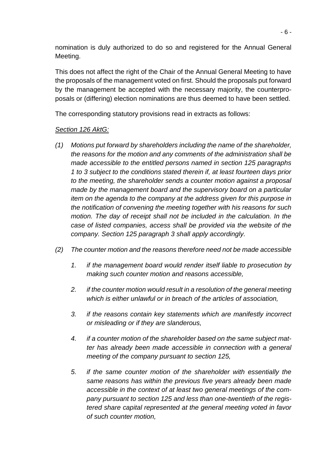nomination is duly authorized to do so and registered for the Annual General Meeting.

This does not affect the right of the Chair of the Annual General Meeting to have the proposals of the management voted on first. Should the proposals put forward by the management be accepted with the necessary majority, the counterproposals or (differing) election nominations are thus deemed to have been settled.

The corresponding statutory provisions read in extracts as follows:

## *Section 126 AktG:*

- *(1) Motions put forward by shareholders including the name of the shareholder, the reasons for the motion and any comments of the administration shall be made accessible to the entitled persons named in section 125 paragraphs 1 to 3 subject to the conditions stated therein if, at least fourteen days prior to the meeting, the shareholder sends a counter motion against a proposal made by the management board and the supervisory board on a particular item on the agenda to the company at the address given for this purpose in the notification of convening the meeting together with his reasons for such motion. The day of receipt shall not be included in the calculation. In the case of listed companies, access shall be provided via the website of the company. Section 125 paragraph 3 shall apply accordingly.*
- *(2) The counter motion and the reasons therefore need not be made accessible*
	- *1. if the management board would render itself liable to prosecution by making such counter motion and reasons accessible,*
	- *2. if the counter motion would result in a resolution of the general meeting which is either unlawful or in breach of the articles of association,*
	- *3. if the reasons contain key statements which are manifestly incorrect or misleading or if they are slanderous,*
	- *4. if a counter motion of the shareholder based on the same subject matter has already been made accessible in connection with a general meeting of the company pursuant to section 125,*
	- *5. if the same counter motion of the shareholder with essentially the same reasons has within the previous five years already been made accessible in the context of at least two general meetings of the company pursuant to section 125 and less than one-twentieth of the registered share capital represented at the general meeting voted in favor of such counter motion,*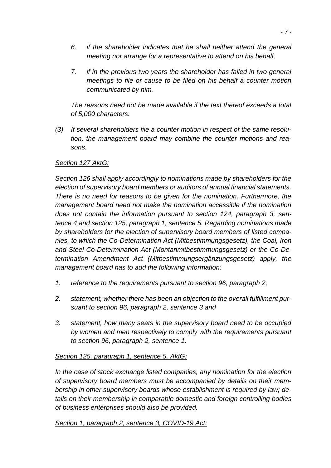- *6. if the shareholder indicates that he shall neither attend the general meeting nor arrange for a representative to attend on his behalf,*
- *7. if in the previous two years the shareholder has failed in two general meetings to file or cause to be filed on his behalf a counter motion communicated by him.*

*The reasons need not be made available if the text thereof exceeds a total of 5,000 characters.*

*(3) If several shareholders file a counter motion in respect of the same resolution, the management board may combine the counter motions and reasons.*

### *Section 127 AktG:*

*Section 126 shall apply accordingly to nominations made by shareholders for the election of supervisory board members or auditors of annual financial statements. There is no need for reasons to be given for the nomination. Furthermore, the management board need not make the nomination accessible if the nomination does not contain the information pursuant to section 124, paragraph 3, sentence 4 and section 125, paragraph 1, sentence 5. Regarding nominations made by shareholders for the election of supervisory board members of listed companies, to which the Co-Determination Act (Mitbestimmungsgesetz), the Coal, Iron and Steel Co-Determination Act (Montanmitbestimmungsgesetz) or the Co-Determination Amendment Act (Mitbestimmungsergänzungsgesetz) apply, the management board has to add the following information:*

- *1. reference to the requirements pursuant to section 96, paragraph 2,*
- *2. statement, whether there has been an objection to the overall fulfillment pursuant to section 96, paragraph 2, sentence 3 and*
- *3. statement, how many seats in the supervisory board need to be occupied by women and men respectively to comply with the requirements pursuant to section 96, paragraph 2, sentence 1.*

### *Section 125, paragraph 1, sentence 5, AktG:*

*In the case of stock exchange listed companies, any nomination for the election of supervisory board members must be accompanied by details on their membership in other supervisory boards whose establishment is required by law; details on their membership in comparable domestic and foreign controlling bodies of business enterprises should also be provided.*

*Section 1, paragraph 2, sentence 3, COVID-19 Act:*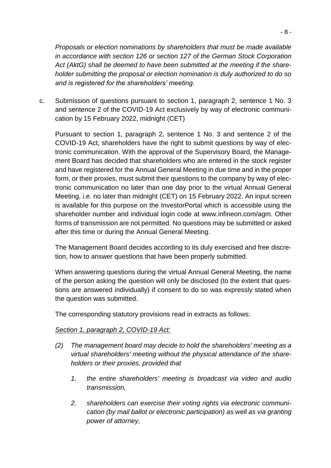*Proposals or election nominations by shareholders that must be made available in accordance with section 126 or section 127 of the German Stock Corporation Act (AktG) shall be deemed to have been submitted at the meeting if the shareholder submitting the proposal or election nomination is duly authorized to do so and is registered for the shareholders' meeting.*

c. Submission of questions pursuant to section 1, paragraph 2, sentence 1 No. 3 and sentence 2 of the COVID-19 Act exclusively by way of electronic communication by 15 February 2022, midnight (CET)

Pursuant to section 1, paragraph 2, sentence 1 No. 3 and sentence 2 of the COVID-19 Act, shareholders have the right to submit questions by way of electronic communication. With the approval of the Supervisory Board, the Management Board has decided that shareholders who are entered in the stock register and have registered for the Annual General Meeting in due time and in the proper form, or their proxies, must submit their questions to the company by way of electronic communication no later than one day prior to the virtual Annual General Meeting, i.e. no later than midnight (CET) on 15 February 2022. An input screen is available for this purpose on the InvestorPortal which is accessible using the shareholder number and individual login code at www.infineon.com/agm. Other forms of transmission are not permitted. No questions may be submitted or asked after this time or during the Annual General Meeting.

The Management Board decides according to its duly exercised and free discretion, how to answer questions that have been properly submitted.

When answering questions during the virtual Annual General Meeting, the name of the person asking the question will only be disclosed (to the extent that questions are answered individually) if consent to do so was expressly stated when the question was submitted.

The corresponding statutory provisions read in extracts as follows:

### *Section 1, paragraph 2, COVID-19 Act:*

- *(2) The management board may decide to hold the shareholders' meeting as a virtual shareholders' meeting without the physical attendance of the shareholders or their proxies, provided that* 
	- *1. the entire shareholders' meeting is broadcast via video and audio transmission,*
	- *2. shareholders can exercise their voting rights via electronic communication (by mail ballot or electronic participation) as well as via granting power of attorney,*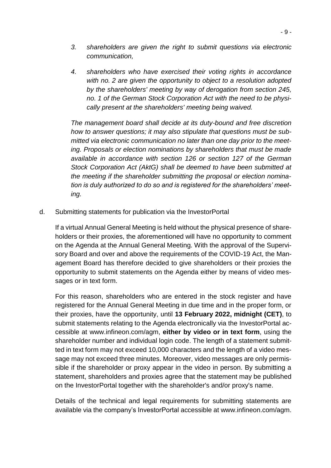- *3. shareholders are given the right to submit questions via electronic communication,*
- *4. shareholders who have exercised their voting rights in accordance with no. 2 are given the opportunity to object to a resolution adopted by the shareholders' meeting by way of derogation from section 245, no. 1 of the German Stock Corporation Act with the need to be physically present at the shareholders' meeting being waived.*

*The management board shall decide at its duty-bound and free discretion how to answer questions; it may also stipulate that questions must be submitted via electronic communication no later than one day prior to the meeting. Proposals or election nominations by shareholders that must be made available in accordance with section 126 or section 127 of the German Stock Corporation Act (AktG) shall be deemed to have been submitted at the meeting if the shareholder submitting the proposal or election nomination is duly authorized to do so and is registered for the shareholders' meeting.*

d. Submitting statements for publication via the InvestorPortal

If a virtual Annual General Meeting is held without the physical presence of shareholders or their proxies, the aforementioned will have no opportunity to comment on the Agenda at the Annual General Meeting. With the approval of the Supervisory Board and over and above the requirements of the COVID-19 Act, the Management Board has therefore decided to give shareholders or their proxies the opportunity to submit statements on the Agenda either by means of video messages or in text form.

For this reason, shareholders who are entered in the stock register and have registered for the Annual General Meeting in due time and in the proper form, or their proxies, have the opportunity, until **13 February 2022, midnight (CET)**, to submit statements relating to the Agenda electronically via the InvestorPortal accessible at www.infineon.com/agm, **either by video or in text form**, using the shareholder number and individual login code. The length of a statement submitted in text form may not exceed 10,000 characters and the length of a video message may not exceed three minutes. Moreover, video messages are only permissible if the shareholder or proxy appear in the video in person. By submitting a statement, shareholders and proxies agree that the statement may be published on the InvestorPortal together with the shareholder's and/or proxy's name.

Details of the technical and legal requirements for submitting statements are available via the company's InvestorPortal accessible at www.infineon.com/agm.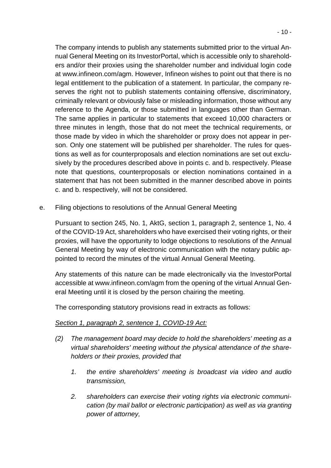The company intends to publish any statements submitted prior to the virtual Annual General Meeting on its InvestorPortal, which is accessible only to shareholders and/or their proxies using the shareholder number and individual login code at www.infineon.com/agm. However, Infineon wishes to point out that there is no legal entitlement to the publication of a statement. In particular, the company reserves the right not to publish statements containing offensive, discriminatory, criminally relevant or obviously false or misleading information, those without any reference to the Agenda, or those submitted in languages other than German. The same applies in particular to statements that exceed 10,000 characters or three minutes in length, those that do not meet the technical requirements, or those made by video in which the shareholder or proxy does not appear in person. Only one statement will be published per shareholder. The rules for questions as well as for counterproposals and election nominations are set out exclusively by the procedures described above in points c. and b. respectively. Please note that questions, counterproposals or election nominations contained in a statement that has not been submitted in the manner described above in points c. and b. respectively, will not be considered.

e. Filing objections to resolutions of the Annual General Meeting

Pursuant to section 245, No. 1, AktG, section 1, paragraph 2, sentence 1, No. 4 of the COVID-19 Act, shareholders who have exercised their voting rights, or their proxies, will have the opportunity to lodge objections to resolutions of the Annual General Meeting by way of electronic communication with the notary public appointed to record the minutes of the virtual Annual General Meeting.

Any statements of this nature can be made electronically via the InvestorPortal accessible at www.infineon.com/agm from the opening of the virtual Annual General Meeting until it is closed by the person chairing the meeting.

The corresponding statutory provisions read in extracts as follows:

### *Section 1, paragraph 2, sentence 1, COVID-19 Act:*

- *(2) The management board may decide to hold the shareholders' meeting as a virtual shareholders' meeting without the physical attendance of the shareholders or their proxies, provided that* 
	- *1. the entire shareholders' meeting is broadcast via video and audio transmission,*
	- *2. shareholders can exercise their voting rights via electronic communication (by mail ballot or electronic participation) as well as via granting power of attorney,*